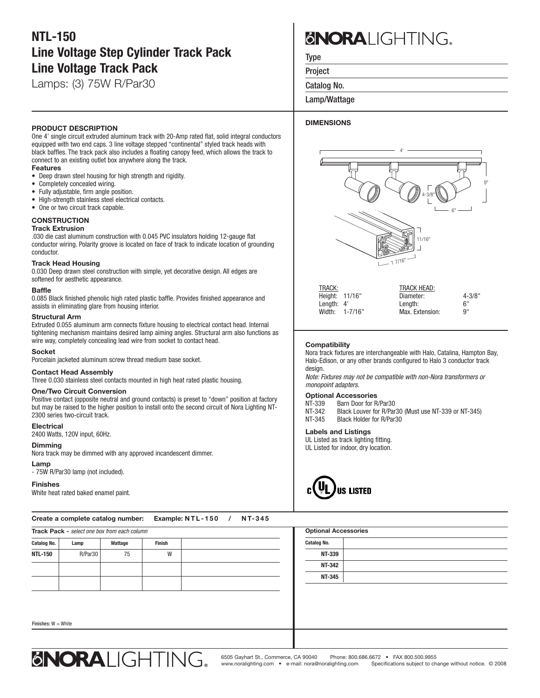# **NTL-150 Line Voltage Step Cylinder Track Pack Line Voltage Track Pack**

Lamps: (3) 75W R/Par30

#### **PRODUCT DESCRIPTION**

One 4' single circuit extruded aluminum track with 20-Amp rated flat, solid integral conductors equipped with two end caps. 3 line voltage stepped "continental" styled track heads with black baffles. The track pack also includes a floating canopy feed, which allows the track to connect to an existing outlet box anywhere along the track.

#### **Features**

- Deep drawn steel housing for high strength and rigidity.
- Completely concealed wiring.
- Fully adjustable, firm angle position.
- High-strength stainless steel electrical contacts.
- One or two circuit track capable.

### **CONSTRUCTION**

#### **Track Extrusion**

.030 die cast aluminum construction with 0.045 PVC insulators holding 12-gauge flat conductor wiring. Polarity groove is located on face of track to indicate location of grounding conductor.

#### **Track Head Housing**

0.030 Deep drawn steel construction with simple, yet decorative design. All edges are softened for aesthetic appearance.

#### **Baffle**

0.085 Black finished phenolic high rated plastic baffle. Provides finished appearance and assists in eliminating glare from housing interior.

#### **Structural Arm**

Extruded 0.055 aluminum arm connects fixture housing to electrical contact head. Internal tightening mechanism maintains desired lamp aiming angles. Structural arm also functions as wire way, completely concealing lead wire from socket to contact head.

#### **Socket**

Porcelain jacketed aluminum screw thread medium base socket.

#### **Contact Head Assembly**

Three 0.030 stainless steel contacts mounted in high heat rated plastic housing.

#### **One/Two Circuit Conversion**

Positive contact (opposite neutral and ground contacts) is preset to "down" position at factory but may be raised to the higher position to install onto the second circuit of Nora Lighting NT-2300 series two-circuit track.

#### **Electrical**

2400 Watts, 120V input, 60Hz.

#### **Dimming**

Nora track may be dimmed with any approved incandescent dimmer.

#### **Lamp**

- 75W R/Par30 lamp (not included).

#### **Finishes**

White heat rated baked enamel paint.

Create a complete catalog number: Example: NTL-150 / NT-345

# **BNORA** IGHTING.

Type

Project

Catalog No.

Lamp/Wattage

#### **DIMENSIONS**



| TRACK:         |                | <b>TRACK HEAD:</b> |            |
|----------------|----------------|--------------------|------------|
| Height: 11/16" |                | Diameter:          | $4 - 3/8"$ |
| Length: $4'$   |                | Lenath:            | . 6"       |
|                | Width: 1-7/16" | Max. Extension:    | <b>9"</b>  |
|                |                |                    |            |

#### **Compatibility**

Nora track fixtures are interchangeable with Halo, Catalina, Hampton Bay, Halo-Edison, or any other brands configured to Halo 3 conductor track design.

*Note: Fixtures may not be compatible with non-Nora transformers or monopoint adapters.*

## **Optional Accessories**<br>NT-339 Barn Door for B

NT-339 Barn Door for R/Par30<br>NT-342 Black Louver for R/Par NT-342 Black Louver for R/Par30 (Must use NT-339 or NT-345)<br>NT-345 Black Holder for R/Par30 Black Holder for R/Par30

#### **Labels and Listings**

UL Listed as track lighting fitting. UL Listed for indoor, dry location.



| Track Pack - select one box from each column |         |         |        | <b>Optional Accessories</b> |
|----------------------------------------------|---------|---------|--------|-----------------------------|
| <b>Catalog No.</b>                           | Lamp    | Wattage | Finish | <b>Catalog No.</b>          |
| <b>NTL-150</b>                               | R/Par30 | 75      | W      | NT-339                      |
|                                              |         |         |        | <b>NT-342</b>               |
|                                              |         |         |        | NT-345                      |
|                                              |         |         |        |                             |
| Finishes: $W = White$                        |         |         |        |                             |